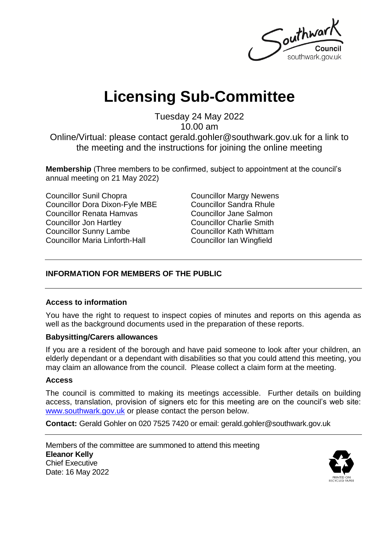Southwar southwark.gov.uk

# **Licensing Sub-Committee**

Tuesday 24 May 2022

10.00 am

Online/Virtual: please contact gerald.gohler@southwark.gov.uk for a link to the meeting and the instructions for joining the online meeting

**Membership** (Three members to be confirmed, subject to appointment at the council's annual meeting on 21 May 2022)

Councillor Sunil Chopra Councillor Dora Dixon-Fyle MBE Councillor Renata Hamvas Councillor Jon Hartley Councillor Sunny Lambe Councillor Maria Linforth-Hall

Councillor Margy Newens Councillor Sandra Rhule Councillor Jane Salmon Councillor Charlie Smith Councillor Kath Whittam Councillor Ian Wingfield

### **INFORMATION FOR MEMBERS OF THE PUBLIC**

### **Access to information**

You have the right to request to inspect copies of minutes and reports on this agenda as well as the background documents used in the preparation of these reports.

#### **Babysitting/Carers allowances**

If you are a resident of the borough and have paid someone to look after your children, an elderly dependant or a dependant with disabilities so that you could attend this meeting, you may claim an allowance from the council. Please collect a claim form at the meeting.

#### **Access**

The council is committed to making its meetings accessible. Further details on building access, translation, provision of signers etc for this meeting are on the council's web site: [www.southwark.gov.uk](http://www.southwark.gov.uk/Public/Home.aspx) or please contact the person below.

**Contact:** Gerald Gohler on 020 7525 7420 or email: gerald.gohler@southwark.gov.uk

Members of the committee are summoned to attend this meeting **Eleanor Kelly** Chief Executive Date: 16 May 2022

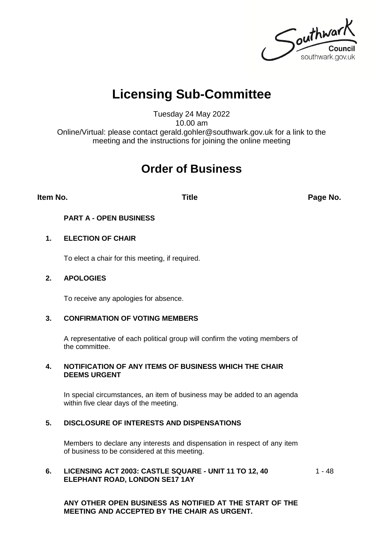Southwark southwark.gov.uk

# **Licensing Sub-Committee**

Tuesday 24 May 2022 10.00 am Online/Virtual: please contact gerald.gohler@southwark.gov.uk for a link to the meeting and the instructions for joining the online meeting

## **Order of Business**

**Item No. Title Page No.**

#### **PART A - OPEN BUSINESS**

#### **1. ELECTION OF CHAIR**

To elect a chair for this meeting, if required.

#### **2. APOLOGIES**

To receive any apologies for absence.

#### **3. CONFIRMATION OF VOTING MEMBERS**

A representative of each political group will confirm the voting members of the committee.

#### **4. NOTIFICATION OF ANY ITEMS OF BUSINESS WHICH THE CHAIR DEEMS URGENT**

In special circumstances, an item of business may be added to an agenda within five clear days of the meeting.

#### **5. DISCLOSURE OF INTERESTS AND DISPENSATIONS**

Members to declare any interests and dispensation in respect of any item of business to be considered at this meeting.

#### **6. LICENSING ACT 2003: CASTLE SQUARE - UNIT 11 TO 12, 40 ELEPHANT ROAD, LONDON SE17 1AY**

1 - 48

**ANY OTHER OPEN BUSINESS AS NOTIFIED AT THE START OF THE MEETING AND ACCEPTED BY THE CHAIR AS URGENT.**